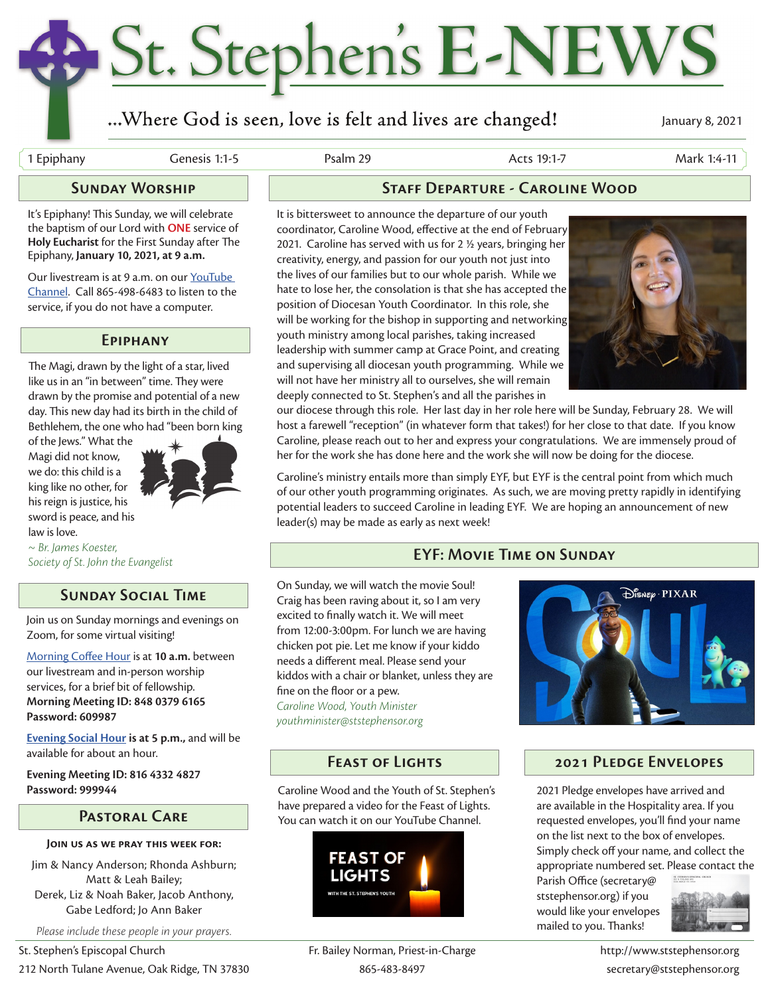# St. Stephen's E-NEWS

### ...Where God is seen, love is felt and lives are changed!

January 8, 2021

1 Epiphany Genesis 1:1-5 Psalm 29 Acts 19:1-7 Mark 1:4-11

#### **Sunday Worship**

It's Epiphany! This Sunday, we will celebrate the baptism of our Lord with **ONE** service of **Holy Eucharist** for the First Sunday after The Epiphany, **January 10, 2021, at 9 a.m.** 

Our livestream is at 9 a.m. on our YouTube Channel. Call 865-498-6483 to listen to the service, if you do not have a computer.

#### **Epiphany**

The Magi, drawn by the light of a star, lived like us in an "in between" time. They were drawn by the promise and potential of a new day. This new day had its birth in the child of Bethlehem, the one who had "been born king

of the Jews." What the Magi did not know, we do: this child is a king like no other, for his reign is justice, his sword is peace, and his law is love.



*~ Br. James Koester, Society of St. John the Evangelist*

#### **Sunday Social Time**

Join us on Sunday mornings and evenings on Zoom, for some virtual visiting!

Morning Coffee Hour is at **10 a.m.** between our livestream and in-person worship services, for a brief bit of fellowship. **Morning Meeting ID: 848 0379 6165 Password: 609987**

**Evening Social Hour is at 5 p.m.,** and will be available for about an hour.

**Evening Meeting ID: 816 4332 4827**

#### **Pastoral Care**

#### **Join us as we pray this week for:**

Jim & Nancy Anderson; Rhonda Ashburn; Matt & Leah Bailey; Derek, Liz & Noah Baker, Jacob Anthony, Gabe Ledford; Jo Ann Baker

*Please include these people in your prayers.*

#### **Staff Departure - Caroline Wood**

It is bittersweet to announce the departure of our youth coordinator, Caroline Wood, effective at the end of February 2021. Caroline has served with us for 2 ½ years, bringing her creativity, energy, and passion for our youth not just into the lives of our families but to our whole parish. While we hate to lose her, the consolation is that she has accepted the position of Diocesan Youth Coordinator. In this role, she will be working for the bishop in supporting and networking youth ministry among local parishes, taking increased leadership with summer camp at Grace Point, and creating and supervising all diocesan youth programming. While we will not have her ministry all to ourselves, she will remain deeply connected to St. Stephen's and all the parishes in



our diocese through this role. Her last day in her role here will be Sunday, February 28. We will host a farewell "reception" (in whatever form that takes!) for her close to that date. If you know Caroline, please reach out to her and express your congratulations. We are immensely proud of her for the work she has done here and the work she will now be doing for the diocese.

Caroline's ministry entails more than simply EYF, but EYF is the central point from which much of our other youth programming originates. As such, we are moving pretty rapidly in identifying potential leaders to succeed Caroline in leading EYF. We are hoping an announcement of new leader(s) may be made as early as next week!

#### **EYF: Movie Time on Sunday**

On Sunday, we will watch the movie Soul! Craig has been raving about it, so I am very excited to finally watch it. We will meet from 12:00-3:00pm. For lunch we are having chicken pot pie. Let me know if your kiddo needs a different meal. Please send your kiddos with a chair or blanket, unless they are fine on the floor or a pew. *Caroline Wood, Youth Minister youthminister@ststephensor.org*

Password: 999944 **2021 Pledge envelopes have arrived and** Caroline Wood and the Youth of St. Stephen's 2021 Pledge envelopes have arrived and have prepared a video for the Feast of Lights. You can watch it on our YouTube Channel.





#### **Feast of Lights 2021 Pledge Envelopes**

 $\bigoplus_{i=1}^n \mathcal{C}_i \mathcal{C}_i \cdot \text{PIXAR}$ 

are available in the Hospitality area. If you requested envelopes, you'll find your name on the list next to the box of envelopes. Simply check off your name, and collect the appropriate numbered set. Please contact the

Parish Office (secretary@ ststephensor.org) if you would like your envelopes mailed to you. Thanks!